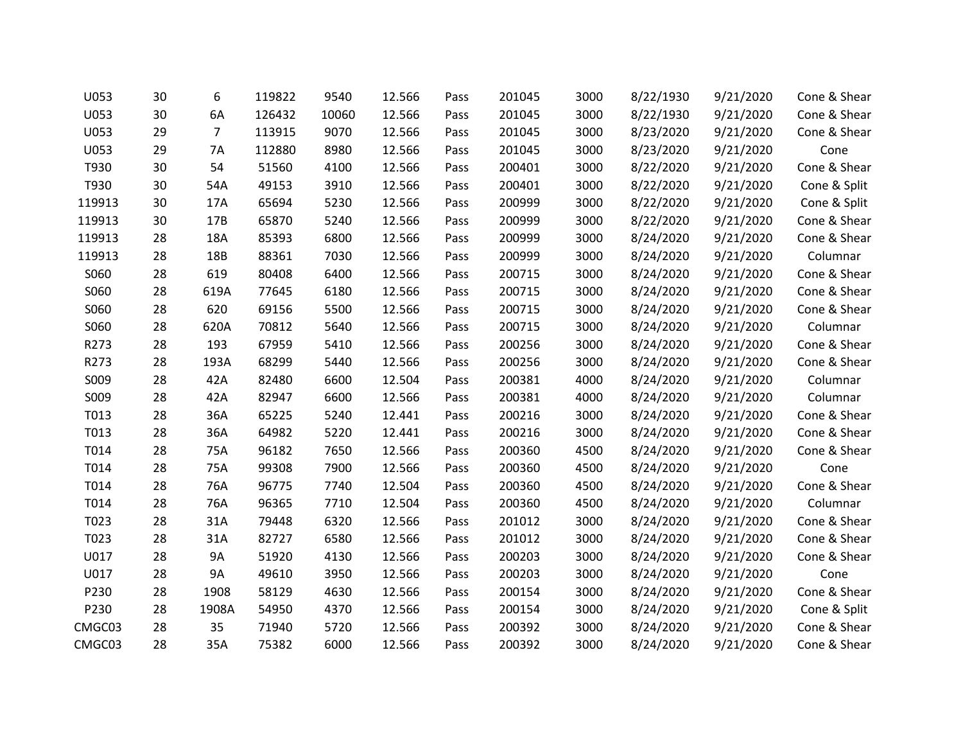| U053   | 30 | 6              | 119822 | 9540  | 12.566 | Pass | 201045 | 3000 | 8/22/1930 | 9/21/2020 | Cone & Shear |
|--------|----|----------------|--------|-------|--------|------|--------|------|-----------|-----------|--------------|
| U053   | 30 | 6A             | 126432 | 10060 | 12.566 | Pass | 201045 | 3000 | 8/22/1930 | 9/21/2020 | Cone & Shear |
| U053   | 29 | $\overline{7}$ | 113915 | 9070  | 12.566 | Pass | 201045 | 3000 | 8/23/2020 | 9/21/2020 | Cone & Shear |
| U053   | 29 | 7A             | 112880 | 8980  | 12.566 | Pass | 201045 | 3000 | 8/23/2020 | 9/21/2020 | Cone         |
| T930   | 30 | 54             | 51560  | 4100  | 12.566 | Pass | 200401 | 3000 | 8/22/2020 | 9/21/2020 | Cone & Shear |
| T930   | 30 | 54A            | 49153  | 3910  | 12.566 | Pass | 200401 | 3000 | 8/22/2020 | 9/21/2020 | Cone & Split |
| 119913 | 30 | 17A            | 65694  | 5230  | 12.566 | Pass | 200999 | 3000 | 8/22/2020 | 9/21/2020 | Cone & Split |
| 119913 | 30 | 17B            | 65870  | 5240  | 12.566 | Pass | 200999 | 3000 | 8/22/2020 | 9/21/2020 | Cone & Shear |
| 119913 | 28 | 18A            | 85393  | 6800  | 12.566 | Pass | 200999 | 3000 | 8/24/2020 | 9/21/2020 | Cone & Shear |
| 119913 | 28 | 18B            | 88361  | 7030  | 12.566 | Pass | 200999 | 3000 | 8/24/2020 | 9/21/2020 | Columnar     |
| S060   | 28 | 619            | 80408  | 6400  | 12.566 | Pass | 200715 | 3000 | 8/24/2020 | 9/21/2020 | Cone & Shear |
| S060   | 28 | 619A           | 77645  | 6180  | 12.566 | Pass | 200715 | 3000 | 8/24/2020 | 9/21/2020 | Cone & Shear |
| S060   | 28 | 620            | 69156  | 5500  | 12.566 | Pass | 200715 | 3000 | 8/24/2020 | 9/21/2020 | Cone & Shear |
| S060   | 28 | 620A           | 70812  | 5640  | 12.566 | Pass | 200715 | 3000 | 8/24/2020 | 9/21/2020 | Columnar     |
| R273   | 28 | 193            | 67959  | 5410  | 12.566 | Pass | 200256 | 3000 | 8/24/2020 | 9/21/2020 | Cone & Shear |
| R273   | 28 | 193A           | 68299  | 5440  | 12.566 | Pass | 200256 | 3000 | 8/24/2020 | 9/21/2020 | Cone & Shear |
| S009   | 28 | 42A            | 82480  | 6600  | 12.504 | Pass | 200381 | 4000 | 8/24/2020 | 9/21/2020 | Columnar     |
| S009   | 28 | 42A            | 82947  | 6600  | 12.566 | Pass | 200381 | 4000 | 8/24/2020 | 9/21/2020 | Columnar     |
| T013   | 28 | 36A            | 65225  | 5240  | 12.441 | Pass | 200216 | 3000 | 8/24/2020 | 9/21/2020 | Cone & Shear |
| T013   | 28 | 36A            | 64982  | 5220  | 12.441 | Pass | 200216 | 3000 | 8/24/2020 | 9/21/2020 | Cone & Shear |
| T014   | 28 | 75A            | 96182  | 7650  | 12.566 | Pass | 200360 | 4500 | 8/24/2020 | 9/21/2020 | Cone & Shear |
| T014   | 28 | 75A            | 99308  | 7900  | 12.566 | Pass | 200360 | 4500 | 8/24/2020 | 9/21/2020 | Cone         |
| T014   | 28 | 76A            | 96775  | 7740  | 12.504 | Pass | 200360 | 4500 | 8/24/2020 | 9/21/2020 | Cone & Shear |
| T014   | 28 | 76A            | 96365  | 7710  | 12.504 | Pass | 200360 | 4500 | 8/24/2020 | 9/21/2020 | Columnar     |
| T023   | 28 | 31A            | 79448  | 6320  | 12.566 | Pass | 201012 | 3000 | 8/24/2020 | 9/21/2020 | Cone & Shear |
| T023   | 28 | 31A            | 82727  | 6580  | 12.566 | Pass | 201012 | 3000 | 8/24/2020 | 9/21/2020 | Cone & Shear |
| U017   | 28 | <b>9A</b>      | 51920  | 4130  | 12.566 | Pass | 200203 | 3000 | 8/24/2020 | 9/21/2020 | Cone & Shear |
| U017   | 28 | <b>9A</b>      | 49610  | 3950  | 12.566 | Pass | 200203 | 3000 | 8/24/2020 | 9/21/2020 | Cone         |
| P230   | 28 | 1908           | 58129  | 4630  | 12.566 | Pass | 200154 | 3000 | 8/24/2020 | 9/21/2020 | Cone & Shear |
| P230   | 28 | 1908A          | 54950  | 4370  | 12.566 | Pass | 200154 | 3000 | 8/24/2020 | 9/21/2020 | Cone & Split |
| CMGC03 | 28 | 35             | 71940  | 5720  | 12.566 | Pass | 200392 | 3000 | 8/24/2020 | 9/21/2020 | Cone & Shear |
| CMGC03 | 28 | 35A            | 75382  | 6000  | 12.566 | Pass | 200392 | 3000 | 8/24/2020 | 9/21/2020 | Cone & Shear |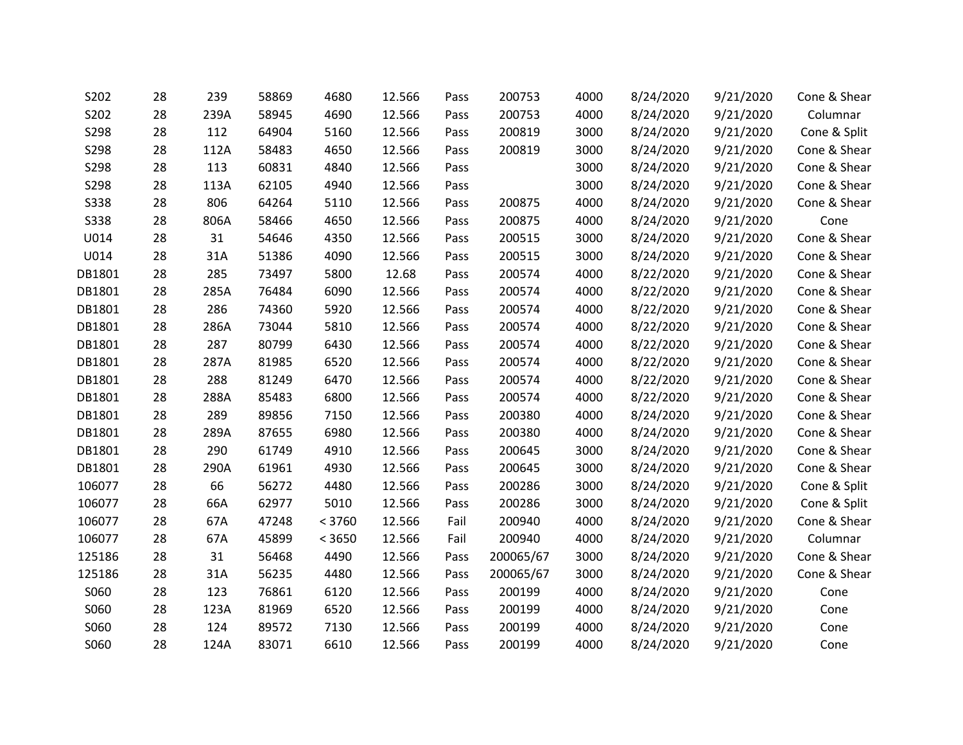| S202        | 28 | 239  | 58869 | 4680   | 12.566 | Pass | 200753    | 4000 | 8/24/2020 | 9/21/2020 | Cone & Shear |
|-------------|----|------|-------|--------|--------|------|-----------|------|-----------|-----------|--------------|
| S202        | 28 | 239A | 58945 | 4690   | 12.566 | Pass | 200753    | 4000 | 8/24/2020 | 9/21/2020 | Columnar     |
| S298        | 28 | 112  | 64904 | 5160   | 12.566 | Pass | 200819    | 3000 | 8/24/2020 | 9/21/2020 | Cone & Split |
| S298        | 28 | 112A | 58483 | 4650   | 12.566 | Pass | 200819    | 3000 | 8/24/2020 | 9/21/2020 | Cone & Shear |
| S298        | 28 | 113  | 60831 | 4840   | 12.566 | Pass |           | 3000 | 8/24/2020 | 9/21/2020 | Cone & Shear |
| S298        | 28 | 113A | 62105 | 4940   | 12.566 | Pass |           | 3000 | 8/24/2020 | 9/21/2020 | Cone & Shear |
| <b>S338</b> | 28 | 806  | 64264 | 5110   | 12.566 | Pass | 200875    | 4000 | 8/24/2020 | 9/21/2020 | Cone & Shear |
| <b>S338</b> | 28 | 806A | 58466 | 4650   | 12.566 | Pass | 200875    | 4000 | 8/24/2020 | 9/21/2020 | Cone         |
| U014        | 28 | 31   | 54646 | 4350   | 12.566 | Pass | 200515    | 3000 | 8/24/2020 | 9/21/2020 | Cone & Shear |
| U014        | 28 | 31A  | 51386 | 4090   | 12.566 | Pass | 200515    | 3000 | 8/24/2020 | 9/21/2020 | Cone & Shear |
| DB1801      | 28 | 285  | 73497 | 5800   | 12.68  | Pass | 200574    | 4000 | 8/22/2020 | 9/21/2020 | Cone & Shear |
| DB1801      | 28 | 285A | 76484 | 6090   | 12.566 | Pass | 200574    | 4000 | 8/22/2020 | 9/21/2020 | Cone & Shear |
| DB1801      | 28 | 286  | 74360 | 5920   | 12.566 | Pass | 200574    | 4000 | 8/22/2020 | 9/21/2020 | Cone & Shear |
| DB1801      | 28 | 286A | 73044 | 5810   | 12.566 | Pass | 200574    | 4000 | 8/22/2020 | 9/21/2020 | Cone & Shear |
| DB1801      | 28 | 287  | 80799 | 6430   | 12.566 | Pass | 200574    | 4000 | 8/22/2020 | 9/21/2020 | Cone & Shear |
| DB1801      | 28 | 287A | 81985 | 6520   | 12.566 | Pass | 200574    | 4000 | 8/22/2020 | 9/21/2020 | Cone & Shear |
| DB1801      | 28 | 288  | 81249 | 6470   | 12.566 | Pass | 200574    | 4000 | 8/22/2020 | 9/21/2020 | Cone & Shear |
| DB1801      | 28 | 288A | 85483 | 6800   | 12.566 | Pass | 200574    | 4000 | 8/22/2020 | 9/21/2020 | Cone & Shear |
| DB1801      | 28 | 289  | 89856 | 7150   | 12.566 | Pass | 200380    | 4000 | 8/24/2020 | 9/21/2020 | Cone & Shear |
| DB1801      | 28 | 289A | 87655 | 6980   | 12.566 | Pass | 200380    | 4000 | 8/24/2020 | 9/21/2020 | Cone & Shear |
| DB1801      | 28 | 290  | 61749 | 4910   | 12.566 | Pass | 200645    | 3000 | 8/24/2020 | 9/21/2020 | Cone & Shear |
| DB1801      | 28 | 290A | 61961 | 4930   | 12.566 | Pass | 200645    | 3000 | 8/24/2020 | 9/21/2020 | Cone & Shear |
| 106077      | 28 | 66   | 56272 | 4480   | 12.566 | Pass | 200286    | 3000 | 8/24/2020 | 9/21/2020 | Cone & Split |
| 106077      | 28 | 66A  | 62977 | 5010   | 12.566 | Pass | 200286    | 3000 | 8/24/2020 | 9/21/2020 | Cone & Split |
| 106077      | 28 | 67A  | 47248 | < 3760 | 12.566 | Fail | 200940    | 4000 | 8/24/2020 | 9/21/2020 | Cone & Shear |
| 106077      | 28 | 67A  | 45899 | < 3650 | 12.566 | Fail | 200940    | 4000 | 8/24/2020 | 9/21/2020 | Columnar     |
| 125186      | 28 | 31   | 56468 | 4490   | 12.566 | Pass | 200065/67 | 3000 | 8/24/2020 | 9/21/2020 | Cone & Shear |
| 125186      | 28 | 31A  | 56235 | 4480   | 12.566 | Pass | 200065/67 | 3000 | 8/24/2020 | 9/21/2020 | Cone & Shear |
| S060        | 28 | 123  | 76861 | 6120   | 12.566 | Pass | 200199    | 4000 | 8/24/2020 | 9/21/2020 | Cone         |
| S060        | 28 | 123A | 81969 | 6520   | 12.566 | Pass | 200199    | 4000 | 8/24/2020 | 9/21/2020 | Cone         |
| S060        | 28 | 124  | 89572 | 7130   | 12.566 | Pass | 200199    | 4000 | 8/24/2020 | 9/21/2020 | Cone         |
| S060        | 28 | 124A | 83071 | 6610   | 12.566 | Pass | 200199    | 4000 | 8/24/2020 | 9/21/2020 | Cone         |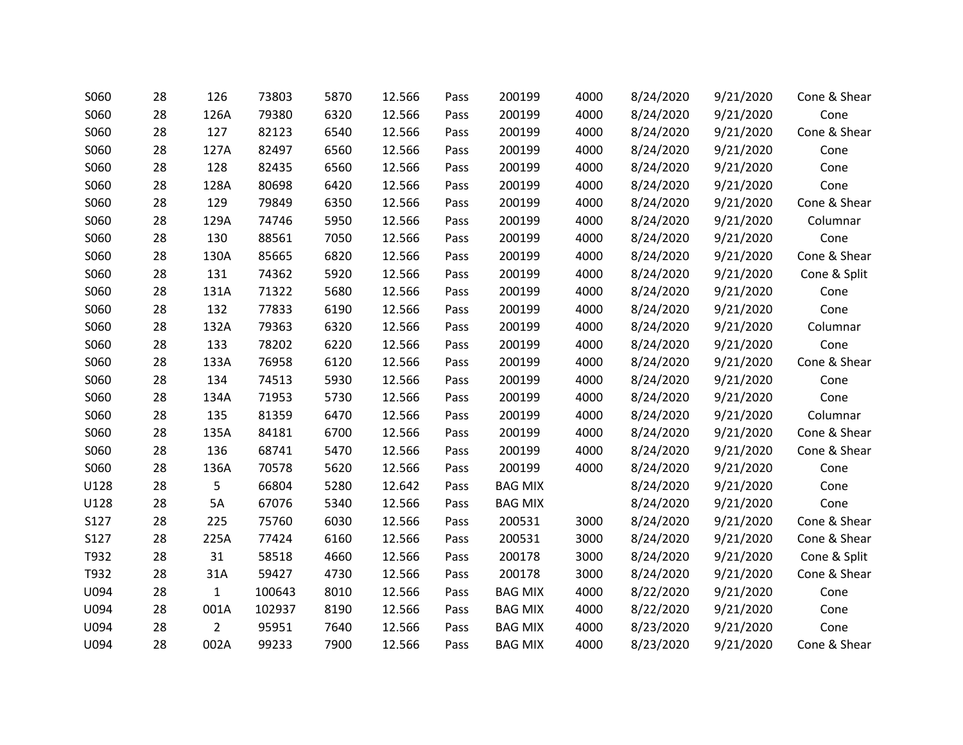| S060 | 28 | 126            | 73803  | 5870 | 12.566 | Pass | 200199         | 4000 | 8/24/2020 | 9/21/2020 | Cone & Shear |
|------|----|----------------|--------|------|--------|------|----------------|------|-----------|-----------|--------------|
| S060 | 28 | 126A           | 79380  | 6320 | 12.566 | Pass | 200199         | 4000 | 8/24/2020 | 9/21/2020 | Cone         |
| S060 | 28 | 127            | 82123  | 6540 | 12.566 | Pass | 200199         | 4000 | 8/24/2020 | 9/21/2020 | Cone & Shear |
| S060 | 28 | 127A           | 82497  | 6560 | 12.566 | Pass | 200199         | 4000 | 8/24/2020 | 9/21/2020 | Cone         |
| S060 | 28 | 128            | 82435  | 6560 | 12.566 | Pass | 200199         | 4000 | 8/24/2020 | 9/21/2020 | Cone         |
| S060 | 28 | 128A           | 80698  | 6420 | 12.566 | Pass | 200199         | 4000 | 8/24/2020 | 9/21/2020 | Cone         |
| S060 | 28 | 129            | 79849  | 6350 | 12.566 | Pass | 200199         | 4000 | 8/24/2020 | 9/21/2020 | Cone & Shear |
| S060 | 28 | 129A           | 74746  | 5950 | 12.566 | Pass | 200199         | 4000 | 8/24/2020 | 9/21/2020 | Columnar     |
| S060 | 28 | 130            | 88561  | 7050 | 12.566 | Pass | 200199         | 4000 | 8/24/2020 | 9/21/2020 | Cone         |
| S060 | 28 | 130A           | 85665  | 6820 | 12.566 | Pass | 200199         | 4000 | 8/24/2020 | 9/21/2020 | Cone & Shear |
| S060 | 28 | 131            | 74362  | 5920 | 12.566 | Pass | 200199         | 4000 | 8/24/2020 | 9/21/2020 | Cone & Split |
| S060 | 28 | 131A           | 71322  | 5680 | 12.566 | Pass | 200199         | 4000 | 8/24/2020 | 9/21/2020 | Cone         |
| S060 | 28 | 132            | 77833  | 6190 | 12.566 | Pass | 200199         | 4000 | 8/24/2020 | 9/21/2020 | Cone         |
| S060 | 28 | 132A           | 79363  | 6320 | 12.566 | Pass | 200199         | 4000 | 8/24/2020 | 9/21/2020 | Columnar     |
| S060 | 28 | 133            | 78202  | 6220 | 12.566 | Pass | 200199         | 4000 | 8/24/2020 | 9/21/2020 | Cone         |
| S060 | 28 | 133A           | 76958  | 6120 | 12.566 | Pass | 200199         | 4000 | 8/24/2020 | 9/21/2020 | Cone & Shear |
| S060 | 28 | 134            | 74513  | 5930 | 12.566 | Pass | 200199         | 4000 | 8/24/2020 | 9/21/2020 | Cone         |
| S060 | 28 | 134A           | 71953  | 5730 | 12.566 | Pass | 200199         | 4000 | 8/24/2020 | 9/21/2020 | Cone         |
| S060 | 28 | 135            | 81359  | 6470 | 12.566 | Pass | 200199         | 4000 | 8/24/2020 | 9/21/2020 | Columnar     |
| S060 | 28 | 135A           | 84181  | 6700 | 12.566 | Pass | 200199         | 4000 | 8/24/2020 | 9/21/2020 | Cone & Shear |
| S060 | 28 | 136            | 68741  | 5470 | 12.566 | Pass | 200199         | 4000 | 8/24/2020 | 9/21/2020 | Cone & Shear |
| S060 | 28 | 136A           | 70578  | 5620 | 12.566 | Pass | 200199         | 4000 | 8/24/2020 | 9/21/2020 | Cone         |
| U128 | 28 | 5              | 66804  | 5280 | 12.642 | Pass | <b>BAG MIX</b> |      | 8/24/2020 | 9/21/2020 | Cone         |
| U128 | 28 | 5A             | 67076  | 5340 | 12.566 | Pass | <b>BAG MIX</b> |      | 8/24/2020 | 9/21/2020 | Cone         |
| S127 | 28 | 225            | 75760  | 6030 | 12.566 | Pass | 200531         | 3000 | 8/24/2020 | 9/21/2020 | Cone & Shear |
| S127 | 28 | 225A           | 77424  | 6160 | 12.566 | Pass | 200531         | 3000 | 8/24/2020 | 9/21/2020 | Cone & Shear |
| T932 | 28 | 31             | 58518  | 4660 | 12.566 | Pass | 200178         | 3000 | 8/24/2020 | 9/21/2020 | Cone & Split |
| T932 | 28 | 31A            | 59427  | 4730 | 12.566 | Pass | 200178         | 3000 | 8/24/2020 | 9/21/2020 | Cone & Shear |
| U094 | 28 | $\mathbf{1}$   | 100643 | 8010 | 12.566 | Pass | <b>BAG MIX</b> | 4000 | 8/22/2020 | 9/21/2020 | Cone         |
| U094 | 28 | 001A           | 102937 | 8190 | 12.566 | Pass | <b>BAG MIX</b> | 4000 | 8/22/2020 | 9/21/2020 | Cone         |
| U094 | 28 | $\overline{2}$ | 95951  | 7640 | 12.566 | Pass | <b>BAG MIX</b> | 4000 | 8/23/2020 | 9/21/2020 | Cone         |
| U094 | 28 | 002A           | 99233  | 7900 | 12.566 | Pass | <b>BAG MIX</b> | 4000 | 8/23/2020 | 9/21/2020 | Cone & Shear |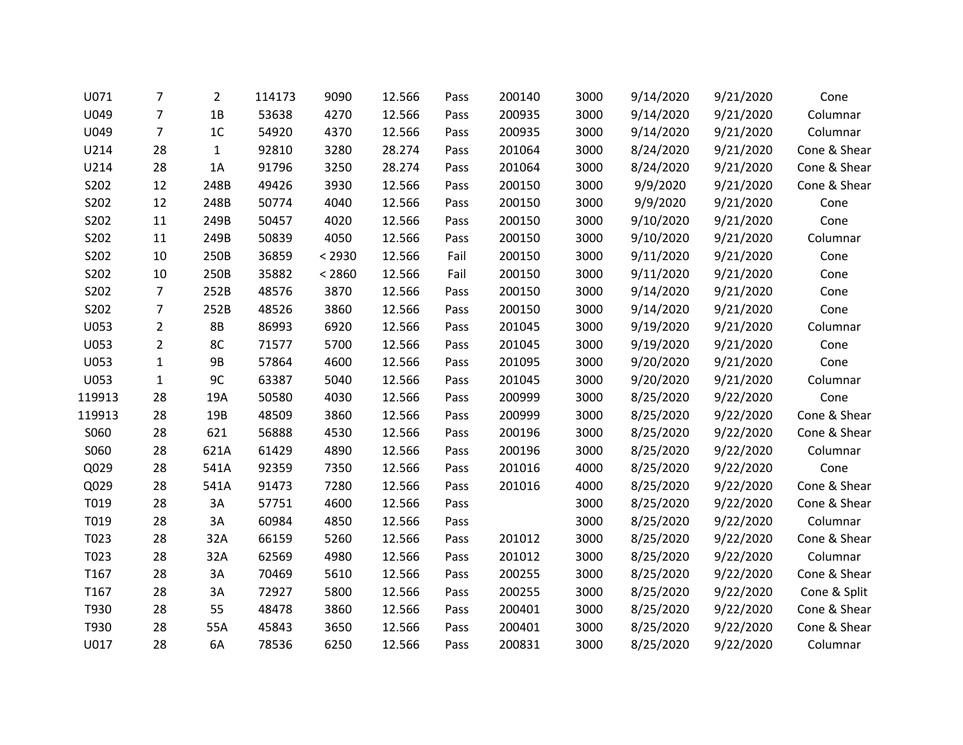| U071   | 7              | $\overline{2}$ | 114173 | 9090   | 12.566 | Pass | 200140 | 3000 | 9/14/2020 | 9/21/2020 | Cone         |
|--------|----------------|----------------|--------|--------|--------|------|--------|------|-----------|-----------|--------------|
| U049   | 7              | 1B             | 53638  | 4270   | 12.566 | Pass | 200935 | 3000 | 9/14/2020 | 9/21/2020 | Columnar     |
| U049   | $\overline{7}$ | 1 <sup>C</sup> | 54920  | 4370   | 12.566 | Pass | 200935 | 3000 | 9/14/2020 | 9/21/2020 | Columnar     |
| U214   | 28             | $\mathbf{1}$   | 92810  | 3280   | 28.274 | Pass | 201064 | 3000 | 8/24/2020 | 9/21/2020 | Cone & Shear |
| U214   | 28             | 1A             | 91796  | 3250   | 28.274 | Pass | 201064 | 3000 | 8/24/2020 | 9/21/2020 | Cone & Shear |
| S202   | 12             | 248B           | 49426  | 3930   | 12.566 | Pass | 200150 | 3000 | 9/9/2020  | 9/21/2020 | Cone & Shear |
| S202   | 12             | 248B           | 50774  | 4040   | 12.566 | Pass | 200150 | 3000 | 9/9/2020  | 9/21/2020 | Cone         |
| S202   | 11             | 249B           | 50457  | 4020   | 12.566 | Pass | 200150 | 3000 | 9/10/2020 | 9/21/2020 | Cone         |
| S202   | 11             | 249B           | 50839  | 4050   | 12.566 | Pass | 200150 | 3000 | 9/10/2020 | 9/21/2020 | Columnar     |
| S202   | 10             | 250B           | 36859  | < 2930 | 12.566 | Fail | 200150 | 3000 | 9/11/2020 | 9/21/2020 | Cone         |
| S202   | 10             | 250B           | 35882  | < 2860 | 12.566 | Fail | 200150 | 3000 | 9/11/2020 | 9/21/2020 | Cone         |
| S202   | $\overline{7}$ | 252B           | 48576  | 3870   | 12.566 | Pass | 200150 | 3000 | 9/14/2020 | 9/21/2020 | Cone         |
| S202   | 7              | 252B           | 48526  | 3860   | 12.566 | Pass | 200150 | 3000 | 9/14/2020 | 9/21/2020 | Cone         |
| U053   | $\overline{2}$ | <b>8B</b>      | 86993  | 6920   | 12.566 | Pass | 201045 | 3000 | 9/19/2020 | 9/21/2020 | Columnar     |
| U053   | $\overline{2}$ | 8C             | 71577  | 5700   | 12.566 | Pass | 201045 | 3000 | 9/19/2020 | 9/21/2020 | Cone         |
| U053   | $\mathbf{1}$   | <b>9B</b>      | 57864  | 4600   | 12.566 | Pass | 201095 | 3000 | 9/20/2020 | 9/21/2020 | Cone         |
| U053   | $\mathbf{1}$   | 9C             | 63387  | 5040   | 12.566 | Pass | 201045 | 3000 | 9/20/2020 | 9/21/2020 | Columnar     |
| 119913 | 28             | 19A            | 50580  | 4030   | 12.566 | Pass | 200999 | 3000 | 8/25/2020 | 9/22/2020 | Cone         |
| 119913 | 28             | 19B            | 48509  | 3860   | 12.566 | Pass | 200999 | 3000 | 8/25/2020 | 9/22/2020 | Cone & Shear |
| S060   | 28             | 621            | 56888  | 4530   | 12.566 | Pass | 200196 | 3000 | 8/25/2020 | 9/22/2020 | Cone & Shear |
| S060   | 28             | 621A           | 61429  | 4890   | 12.566 | Pass | 200196 | 3000 | 8/25/2020 | 9/22/2020 | Columnar     |
| Q029   | 28             | 541A           | 92359  | 7350   | 12.566 | Pass | 201016 | 4000 | 8/25/2020 | 9/22/2020 | Cone         |
| Q029   | 28             | 541A           | 91473  | 7280   | 12.566 | Pass | 201016 | 4000 | 8/25/2020 | 9/22/2020 | Cone & Shear |
| T019   | 28             | 3A             | 57751  | 4600   | 12.566 | Pass |        | 3000 | 8/25/2020 | 9/22/2020 | Cone & Shear |
| T019   | 28             | 3A             | 60984  | 4850   | 12.566 | Pass |        | 3000 | 8/25/2020 | 9/22/2020 | Columnar     |
| T023   | 28             | 32A            | 66159  | 5260   | 12.566 | Pass | 201012 | 3000 | 8/25/2020 | 9/22/2020 | Cone & Shear |
| T023   | 28             | 32A            | 62569  | 4980   | 12.566 | Pass | 201012 | 3000 | 8/25/2020 | 9/22/2020 | Columnar     |
| T167   | 28             | 3A             | 70469  | 5610   | 12.566 | Pass | 200255 | 3000 | 8/25/2020 | 9/22/2020 | Cone & Shear |
| T167   | 28             | 3A             | 72927  | 5800   | 12.566 | Pass | 200255 | 3000 | 8/25/2020 | 9/22/2020 | Cone & Split |
| T930   | 28             | 55             | 48478  | 3860   | 12.566 | Pass | 200401 | 3000 | 8/25/2020 | 9/22/2020 | Cone & Shear |
| T930   | 28             | 55A            | 45843  | 3650   | 12.566 | Pass | 200401 | 3000 | 8/25/2020 | 9/22/2020 | Cone & Shear |
| U017   | 28             | 6A             | 78536  | 6250   | 12.566 | Pass | 200831 | 3000 | 8/25/2020 | 9/22/2020 | Columnar     |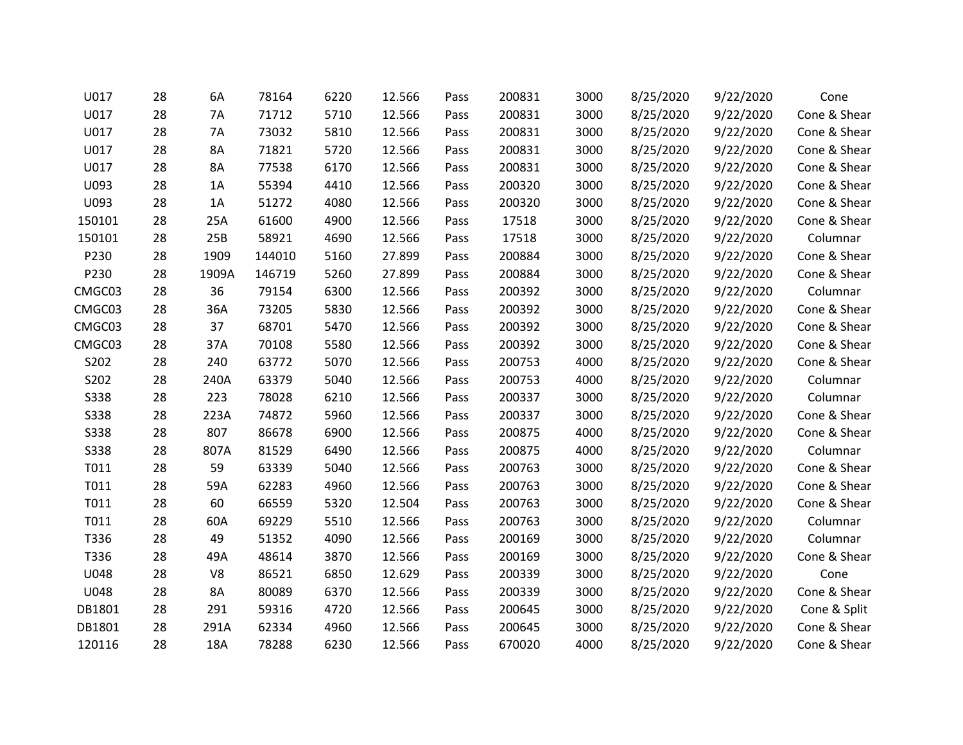| U017        | 28 | 6A        | 78164  | 6220 | 12.566 | Pass | 200831 | 3000 | 8/25/2020 | 9/22/2020 | Cone         |
|-------------|----|-----------|--------|------|--------|------|--------|------|-----------|-----------|--------------|
| U017        | 28 | 7A        | 71712  | 5710 | 12.566 | Pass | 200831 | 3000 | 8/25/2020 | 9/22/2020 | Cone & Shear |
| U017        | 28 | <b>7A</b> | 73032  | 5810 | 12.566 | Pass | 200831 | 3000 | 8/25/2020 | 9/22/2020 | Cone & Shear |
| U017        | 28 | 8A        | 71821  | 5720 | 12.566 | Pass | 200831 | 3000 | 8/25/2020 | 9/22/2020 | Cone & Shear |
| U017        | 28 | 8A        | 77538  | 6170 | 12.566 | Pass | 200831 | 3000 | 8/25/2020 | 9/22/2020 | Cone & Shear |
| U093        | 28 | 1A        | 55394  | 4410 | 12.566 | Pass | 200320 | 3000 | 8/25/2020 | 9/22/2020 | Cone & Shear |
| U093        | 28 | 1A        | 51272  | 4080 | 12.566 | Pass | 200320 | 3000 | 8/25/2020 | 9/22/2020 | Cone & Shear |
| 150101      | 28 | 25A       | 61600  | 4900 | 12.566 | Pass | 17518  | 3000 | 8/25/2020 | 9/22/2020 | Cone & Shear |
| 150101      | 28 | 25B       | 58921  | 4690 | 12.566 | Pass | 17518  | 3000 | 8/25/2020 | 9/22/2020 | Columnar     |
| P230        | 28 | 1909      | 144010 | 5160 | 27.899 | Pass | 200884 | 3000 | 8/25/2020 | 9/22/2020 | Cone & Shear |
| P230        | 28 | 1909A     | 146719 | 5260 | 27.899 | Pass | 200884 | 3000 | 8/25/2020 | 9/22/2020 | Cone & Shear |
| CMGC03      | 28 | 36        | 79154  | 6300 | 12.566 | Pass | 200392 | 3000 | 8/25/2020 | 9/22/2020 | Columnar     |
| CMGC03      | 28 | 36A       | 73205  | 5830 | 12.566 | Pass | 200392 | 3000 | 8/25/2020 | 9/22/2020 | Cone & Shear |
| CMGC03      | 28 | 37        | 68701  | 5470 | 12.566 | Pass | 200392 | 3000 | 8/25/2020 | 9/22/2020 | Cone & Shear |
| CMGC03      | 28 | 37A       | 70108  | 5580 | 12.566 | Pass | 200392 | 3000 | 8/25/2020 | 9/22/2020 | Cone & Shear |
| S202        | 28 | 240       | 63772  | 5070 | 12.566 | Pass | 200753 | 4000 | 8/25/2020 | 9/22/2020 | Cone & Shear |
| S202        | 28 | 240A      | 63379  | 5040 | 12.566 | Pass | 200753 | 4000 | 8/25/2020 | 9/22/2020 | Columnar     |
| <b>S338</b> | 28 | 223       | 78028  | 6210 | 12.566 | Pass | 200337 | 3000 | 8/25/2020 | 9/22/2020 | Columnar     |
| <b>S338</b> | 28 | 223A      | 74872  | 5960 | 12.566 | Pass | 200337 | 3000 | 8/25/2020 | 9/22/2020 | Cone & Shear |
| S338        | 28 | 807       | 86678  | 6900 | 12.566 | Pass | 200875 | 4000 | 8/25/2020 | 9/22/2020 | Cone & Shear |
| <b>S338</b> | 28 | 807A      | 81529  | 6490 | 12.566 | Pass | 200875 | 4000 | 8/25/2020 | 9/22/2020 | Columnar     |
| T011        | 28 | 59        | 63339  | 5040 | 12.566 | Pass | 200763 | 3000 | 8/25/2020 | 9/22/2020 | Cone & Shear |
| T011        | 28 | 59A       | 62283  | 4960 | 12.566 | Pass | 200763 | 3000 | 8/25/2020 | 9/22/2020 | Cone & Shear |
| T011        | 28 | 60        | 66559  | 5320 | 12.504 | Pass | 200763 | 3000 | 8/25/2020 | 9/22/2020 | Cone & Shear |
| T011        | 28 | 60A       | 69229  | 5510 | 12.566 | Pass | 200763 | 3000 | 8/25/2020 | 9/22/2020 | Columnar     |
| T336        | 28 | 49        | 51352  | 4090 | 12.566 | Pass | 200169 | 3000 | 8/25/2020 | 9/22/2020 | Columnar     |
| T336        | 28 | 49A       | 48614  | 3870 | 12.566 | Pass | 200169 | 3000 | 8/25/2020 | 9/22/2020 | Cone & Shear |
| U048        | 28 | V8        | 86521  | 6850 | 12.629 | Pass | 200339 | 3000 | 8/25/2020 | 9/22/2020 | Cone         |
| U048        | 28 | 8A        | 80089  | 6370 | 12.566 | Pass | 200339 | 3000 | 8/25/2020 | 9/22/2020 | Cone & Shear |
| DB1801      | 28 | 291       | 59316  | 4720 | 12.566 | Pass | 200645 | 3000 | 8/25/2020 | 9/22/2020 | Cone & Split |
| DB1801      | 28 | 291A      | 62334  | 4960 | 12.566 | Pass | 200645 | 3000 | 8/25/2020 | 9/22/2020 | Cone & Shear |
| 120116      | 28 | 18A       | 78288  | 6230 | 12.566 | Pass | 670020 | 4000 | 8/25/2020 | 9/22/2020 | Cone & Shear |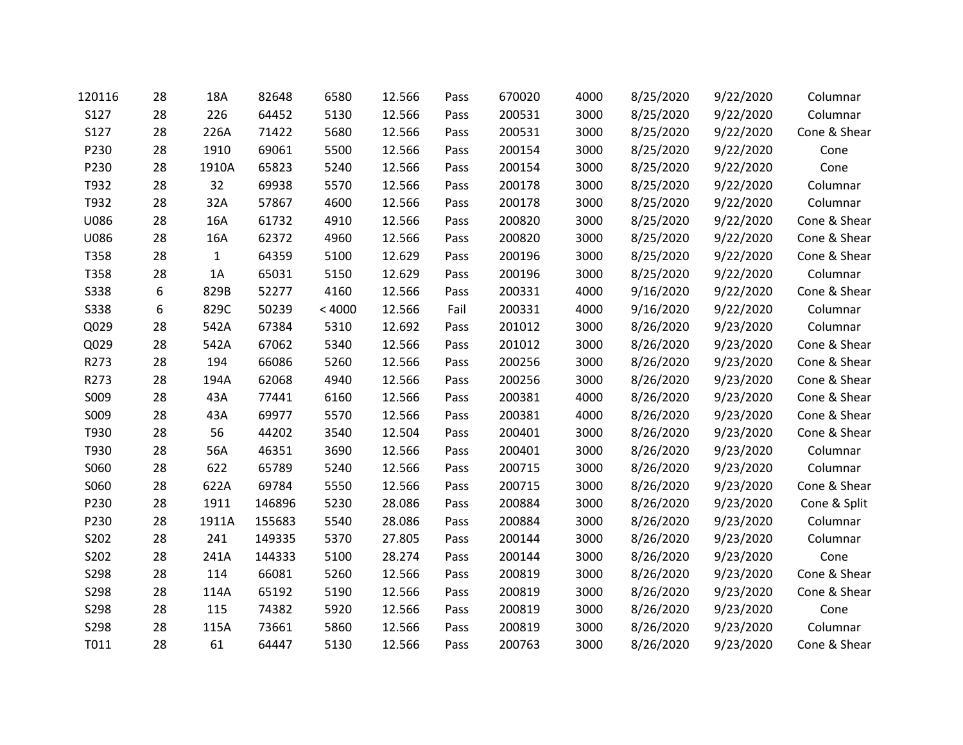| 120116      | 28 | 18A          | 82648  | 6580   | 12.566 | Pass | 670020 | 4000 | 8/25/2020 | 9/22/2020 | Columnar     |
|-------------|----|--------------|--------|--------|--------|------|--------|------|-----------|-----------|--------------|
| S127        | 28 | 226          | 64452  | 5130   | 12.566 | Pass | 200531 | 3000 | 8/25/2020 | 9/22/2020 | Columnar     |
| S127        | 28 | 226A         | 71422  | 5680   | 12.566 | Pass | 200531 | 3000 | 8/25/2020 | 9/22/2020 | Cone & Shear |
| P230        | 28 | 1910         | 69061  | 5500   | 12.566 | Pass | 200154 | 3000 | 8/25/2020 | 9/22/2020 | Cone         |
| P230        | 28 | 1910A        | 65823  | 5240   | 12.566 | Pass | 200154 | 3000 | 8/25/2020 | 9/22/2020 | Cone         |
| T932        | 28 | 32           | 69938  | 5570   | 12.566 | Pass | 200178 | 3000 | 8/25/2020 | 9/22/2020 | Columnar     |
| T932        | 28 | 32A          | 57867  | 4600   | 12.566 | Pass | 200178 | 3000 | 8/25/2020 | 9/22/2020 | Columnar     |
| U086        | 28 | 16A          | 61732  | 4910   | 12.566 | Pass | 200820 | 3000 | 8/25/2020 | 9/22/2020 | Cone & Shear |
| U086        | 28 | 16A          | 62372  | 4960   | 12.566 | Pass | 200820 | 3000 | 8/25/2020 | 9/22/2020 | Cone & Shear |
| T358        | 28 | $\mathbf{1}$ | 64359  | 5100   | 12.629 | Pass | 200196 | 3000 | 8/25/2020 | 9/22/2020 | Cone & Shear |
| T358        | 28 | 1A           | 65031  | 5150   | 12.629 | Pass | 200196 | 3000 | 8/25/2020 | 9/22/2020 | Columnar     |
| <b>S338</b> | 6  | 829B         | 52277  | 4160   | 12.566 | Pass | 200331 | 4000 | 9/16/2020 | 9/22/2020 | Cone & Shear |
| <b>S338</b> | 6  | 829C         | 50239  | < 4000 | 12.566 | Fail | 200331 | 4000 | 9/16/2020 | 9/22/2020 | Columnar     |
| Q029        | 28 | 542A         | 67384  | 5310   | 12.692 | Pass | 201012 | 3000 | 8/26/2020 | 9/23/2020 | Columnar     |
| Q029        | 28 | 542A         | 67062  | 5340   | 12.566 | Pass | 201012 | 3000 | 8/26/2020 | 9/23/2020 | Cone & Shear |
| R273        | 28 | 194          | 66086  | 5260   | 12.566 | Pass | 200256 | 3000 | 8/26/2020 | 9/23/2020 | Cone & Shear |
| R273        | 28 | 194A         | 62068  | 4940   | 12.566 | Pass | 200256 | 3000 | 8/26/2020 | 9/23/2020 | Cone & Shear |
| S009        | 28 | 43A          | 77441  | 6160   | 12.566 | Pass | 200381 | 4000 | 8/26/2020 | 9/23/2020 | Cone & Shear |
| S009        | 28 | 43A          | 69977  | 5570   | 12.566 | Pass | 200381 | 4000 | 8/26/2020 | 9/23/2020 | Cone & Shear |
| T930        | 28 | 56           | 44202  | 3540   | 12.504 | Pass | 200401 | 3000 | 8/26/2020 | 9/23/2020 | Cone & Shear |
| T930        | 28 | 56A          | 46351  | 3690   | 12.566 | Pass | 200401 | 3000 | 8/26/2020 | 9/23/2020 | Columnar     |
| S060        | 28 | 622          | 65789  | 5240   | 12.566 | Pass | 200715 | 3000 | 8/26/2020 | 9/23/2020 | Columnar     |
| S060        | 28 | 622A         | 69784  | 5550   | 12.566 | Pass | 200715 | 3000 | 8/26/2020 | 9/23/2020 | Cone & Shear |
| P230        | 28 | 1911         | 146896 | 5230   | 28.086 | Pass | 200884 | 3000 | 8/26/2020 | 9/23/2020 | Cone & Split |
| P230        | 28 | 1911A        | 155683 | 5540   | 28.086 | Pass | 200884 | 3000 | 8/26/2020 | 9/23/2020 | Columnar     |
| S202        | 28 | 241          | 149335 | 5370   | 27.805 | Pass | 200144 | 3000 | 8/26/2020 | 9/23/2020 | Columnar     |
| S202        | 28 | 241A         | 144333 | 5100   | 28.274 | Pass | 200144 | 3000 | 8/26/2020 | 9/23/2020 | Cone         |
| S298        | 28 | 114          | 66081  | 5260   | 12.566 | Pass | 200819 | 3000 | 8/26/2020 | 9/23/2020 | Cone & Shear |
| S298        | 28 | 114A         | 65192  | 5190   | 12.566 | Pass | 200819 | 3000 | 8/26/2020 | 9/23/2020 | Cone & Shear |
| S298        | 28 | 115          | 74382  | 5920   | 12.566 | Pass | 200819 | 3000 | 8/26/2020 | 9/23/2020 | Cone         |
| S298        | 28 | 115A         | 73661  | 5860   | 12.566 | Pass | 200819 | 3000 | 8/26/2020 | 9/23/2020 | Columnar     |
| T011        | 28 | 61           | 64447  | 5130   | 12.566 | Pass | 200763 | 3000 | 8/26/2020 | 9/23/2020 | Cone & Shear |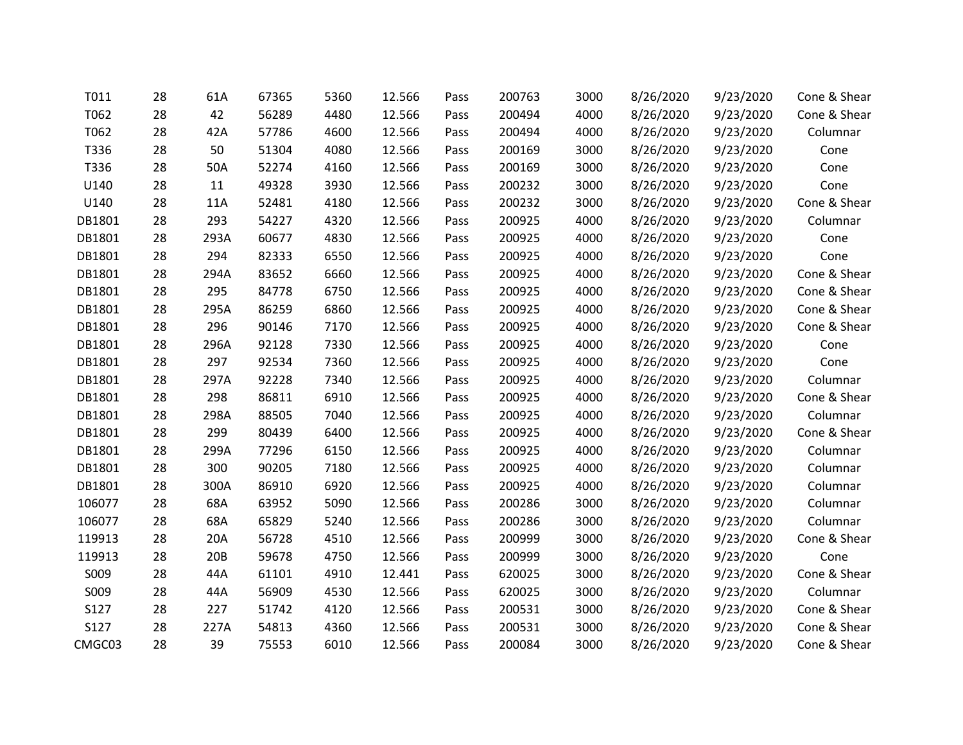| T011   | 28 | 61A  | 67365 | 5360 | 12.566 | Pass | 200763 | 3000 | 8/26/2020 | 9/23/2020 | Cone & Shear |
|--------|----|------|-------|------|--------|------|--------|------|-----------|-----------|--------------|
| T062   | 28 | 42   | 56289 | 4480 | 12.566 | Pass | 200494 | 4000 | 8/26/2020 | 9/23/2020 | Cone & Shear |
| T062   | 28 | 42A  | 57786 | 4600 | 12.566 | Pass | 200494 | 4000 | 8/26/2020 | 9/23/2020 | Columnar     |
| T336   | 28 | 50   | 51304 | 4080 | 12.566 | Pass | 200169 | 3000 | 8/26/2020 | 9/23/2020 | Cone         |
| T336   | 28 | 50A  | 52274 | 4160 | 12.566 | Pass | 200169 | 3000 | 8/26/2020 | 9/23/2020 | Cone         |
| U140   | 28 | 11   | 49328 | 3930 | 12.566 | Pass | 200232 | 3000 | 8/26/2020 | 9/23/2020 | Cone         |
| U140   | 28 | 11A  | 52481 | 4180 | 12.566 | Pass | 200232 | 3000 | 8/26/2020 | 9/23/2020 | Cone & Shear |
| DB1801 | 28 | 293  | 54227 | 4320 | 12.566 | Pass | 200925 | 4000 | 8/26/2020 | 9/23/2020 | Columnar     |
| DB1801 | 28 | 293A | 60677 | 4830 | 12.566 | Pass | 200925 | 4000 | 8/26/2020 | 9/23/2020 | Cone         |
| DB1801 | 28 | 294  | 82333 | 6550 | 12.566 | Pass | 200925 | 4000 | 8/26/2020 | 9/23/2020 | Cone         |
| DB1801 | 28 | 294A | 83652 | 6660 | 12.566 | Pass | 200925 | 4000 | 8/26/2020 | 9/23/2020 | Cone & Shear |
| DB1801 | 28 | 295  | 84778 | 6750 | 12.566 | Pass | 200925 | 4000 | 8/26/2020 | 9/23/2020 | Cone & Shear |
| DB1801 | 28 | 295A | 86259 | 6860 | 12.566 | Pass | 200925 | 4000 | 8/26/2020 | 9/23/2020 | Cone & Shear |
| DB1801 | 28 | 296  | 90146 | 7170 | 12.566 | Pass | 200925 | 4000 | 8/26/2020 | 9/23/2020 | Cone & Shear |
| DB1801 | 28 | 296A | 92128 | 7330 | 12.566 | Pass | 200925 | 4000 | 8/26/2020 | 9/23/2020 | Cone         |
| DB1801 | 28 | 297  | 92534 | 7360 | 12.566 | Pass | 200925 | 4000 | 8/26/2020 | 9/23/2020 | Cone         |
| DB1801 | 28 | 297A | 92228 | 7340 | 12.566 | Pass | 200925 | 4000 | 8/26/2020 | 9/23/2020 | Columnar     |
| DB1801 | 28 | 298  | 86811 | 6910 | 12.566 | Pass | 200925 | 4000 | 8/26/2020 | 9/23/2020 | Cone & Shear |
| DB1801 | 28 | 298A | 88505 | 7040 | 12.566 | Pass | 200925 | 4000 | 8/26/2020 | 9/23/2020 | Columnar     |
| DB1801 | 28 | 299  | 80439 | 6400 | 12.566 | Pass | 200925 | 4000 | 8/26/2020 | 9/23/2020 | Cone & Shear |
| DB1801 | 28 | 299A | 77296 | 6150 | 12.566 | Pass | 200925 | 4000 | 8/26/2020 | 9/23/2020 | Columnar     |
| DB1801 | 28 | 300  | 90205 | 7180 | 12.566 | Pass | 200925 | 4000 | 8/26/2020 | 9/23/2020 | Columnar     |
| DB1801 | 28 | 300A | 86910 | 6920 | 12.566 | Pass | 200925 | 4000 | 8/26/2020 | 9/23/2020 | Columnar     |
| 106077 | 28 | 68A  | 63952 | 5090 | 12.566 | Pass | 200286 | 3000 | 8/26/2020 | 9/23/2020 | Columnar     |
| 106077 | 28 | 68A  | 65829 | 5240 | 12.566 | Pass | 200286 | 3000 | 8/26/2020 | 9/23/2020 | Columnar     |
| 119913 | 28 | 20A  | 56728 | 4510 | 12.566 | Pass | 200999 | 3000 | 8/26/2020 | 9/23/2020 | Cone & Shear |
| 119913 | 28 | 20B  | 59678 | 4750 | 12.566 | Pass | 200999 | 3000 | 8/26/2020 | 9/23/2020 | Cone         |
| S009   | 28 | 44A  | 61101 | 4910 | 12.441 | Pass | 620025 | 3000 | 8/26/2020 | 9/23/2020 | Cone & Shear |
| S009   | 28 | 44A  | 56909 | 4530 | 12.566 | Pass | 620025 | 3000 | 8/26/2020 | 9/23/2020 | Columnar     |
| S127   | 28 | 227  | 51742 | 4120 | 12.566 | Pass | 200531 | 3000 | 8/26/2020 | 9/23/2020 | Cone & Shear |
| S127   | 28 | 227A | 54813 | 4360 | 12.566 | Pass | 200531 | 3000 | 8/26/2020 | 9/23/2020 | Cone & Shear |
| CMGC03 | 28 | 39   | 75553 | 6010 | 12.566 | Pass | 200084 | 3000 | 8/26/2020 | 9/23/2020 | Cone & Shear |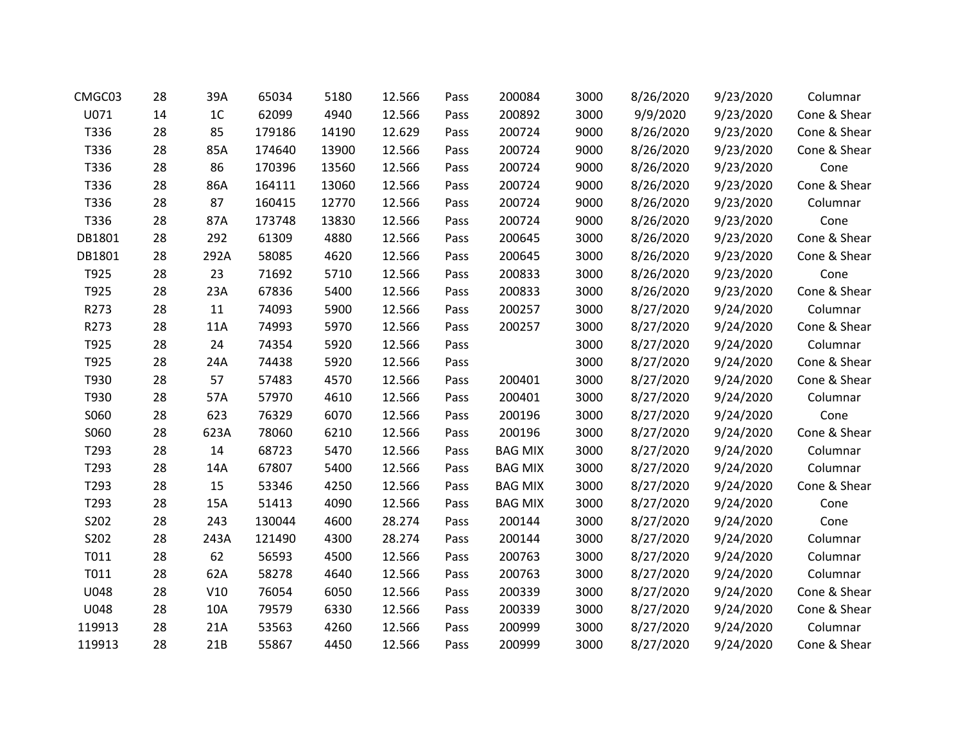| CMGC03 | 28 | 39A            | 65034  | 5180  | 12.566 | Pass | 200084         | 3000 | 8/26/2020 | 9/23/2020 | Columnar     |
|--------|----|----------------|--------|-------|--------|------|----------------|------|-----------|-----------|--------------|
| U071   | 14 | 1 <sup>C</sup> | 62099  | 4940  | 12.566 | Pass | 200892         | 3000 | 9/9/2020  | 9/23/2020 | Cone & Shear |
| T336   | 28 | 85             | 179186 | 14190 | 12.629 | Pass | 200724         | 9000 | 8/26/2020 | 9/23/2020 | Cone & Shear |
| T336   | 28 | 85A            | 174640 | 13900 | 12.566 | Pass | 200724         | 9000 | 8/26/2020 | 9/23/2020 | Cone & Shear |
| T336   | 28 | 86             | 170396 | 13560 | 12.566 | Pass | 200724         | 9000 | 8/26/2020 | 9/23/2020 | Cone         |
| T336   | 28 | 86A            | 164111 | 13060 | 12.566 | Pass | 200724         | 9000 | 8/26/2020 | 9/23/2020 | Cone & Shear |
| T336   | 28 | 87             | 160415 | 12770 | 12.566 | Pass | 200724         | 9000 | 8/26/2020 | 9/23/2020 | Columnar     |
| T336   | 28 | 87A            | 173748 | 13830 | 12.566 | Pass | 200724         | 9000 | 8/26/2020 | 9/23/2020 | Cone         |
| DB1801 | 28 | 292            | 61309  | 4880  | 12.566 | Pass | 200645         | 3000 | 8/26/2020 | 9/23/2020 | Cone & Shear |
| DB1801 | 28 | 292A           | 58085  | 4620  | 12.566 | Pass | 200645         | 3000 | 8/26/2020 | 9/23/2020 | Cone & Shear |
| T925   | 28 | 23             | 71692  | 5710  | 12.566 | Pass | 200833         | 3000 | 8/26/2020 | 9/23/2020 | Cone         |
| T925   | 28 | 23A            | 67836  | 5400  | 12.566 | Pass | 200833         | 3000 | 8/26/2020 | 9/23/2020 | Cone & Shear |
| R273   | 28 | 11             | 74093  | 5900  | 12.566 | Pass | 200257         | 3000 | 8/27/2020 | 9/24/2020 | Columnar     |
| R273   | 28 | <b>11A</b>     | 74993  | 5970  | 12.566 | Pass | 200257         | 3000 | 8/27/2020 | 9/24/2020 | Cone & Shear |
| T925   | 28 | 24             | 74354  | 5920  | 12.566 | Pass |                | 3000 | 8/27/2020 | 9/24/2020 | Columnar     |
| T925   | 28 | 24A            | 74438  | 5920  | 12.566 | Pass |                | 3000 | 8/27/2020 | 9/24/2020 | Cone & Shear |
| T930   | 28 | 57             | 57483  | 4570  | 12.566 | Pass | 200401         | 3000 | 8/27/2020 | 9/24/2020 | Cone & Shear |
| T930   | 28 | 57A            | 57970  | 4610  | 12.566 | Pass | 200401         | 3000 | 8/27/2020 | 9/24/2020 | Columnar     |
| S060   | 28 | 623            | 76329  | 6070  | 12.566 | Pass | 200196         | 3000 | 8/27/2020 | 9/24/2020 | Cone         |
| S060   | 28 | 623A           | 78060  | 6210  | 12.566 | Pass | 200196         | 3000 | 8/27/2020 | 9/24/2020 | Cone & Shear |
| T293   | 28 | 14             | 68723  | 5470  | 12.566 | Pass | <b>BAG MIX</b> | 3000 | 8/27/2020 | 9/24/2020 | Columnar     |
| T293   | 28 | 14A            | 67807  | 5400  | 12.566 | Pass | <b>BAG MIX</b> | 3000 | 8/27/2020 | 9/24/2020 | Columnar     |
| T293   | 28 | 15             | 53346  | 4250  | 12.566 | Pass | <b>BAG MIX</b> | 3000 | 8/27/2020 | 9/24/2020 | Cone & Shear |
| T293   | 28 | 15A            | 51413  | 4090  | 12.566 | Pass | <b>BAG MIX</b> | 3000 | 8/27/2020 | 9/24/2020 | Cone         |
| S202   | 28 | 243            | 130044 | 4600  | 28.274 | Pass | 200144         | 3000 | 8/27/2020 | 9/24/2020 | Cone         |
| S202   | 28 | 243A           | 121490 | 4300  | 28.274 | Pass | 200144         | 3000 | 8/27/2020 | 9/24/2020 | Columnar     |
| T011   | 28 | 62             | 56593  | 4500  | 12.566 | Pass | 200763         | 3000 | 8/27/2020 | 9/24/2020 | Columnar     |
| T011   | 28 | 62A            | 58278  | 4640  | 12.566 | Pass | 200763         | 3000 | 8/27/2020 | 9/24/2020 | Columnar     |
| U048   | 28 | V10            | 76054  | 6050  | 12.566 | Pass | 200339         | 3000 | 8/27/2020 | 9/24/2020 | Cone & Shear |
| U048   | 28 | 10A            | 79579  | 6330  | 12.566 | Pass | 200339         | 3000 | 8/27/2020 | 9/24/2020 | Cone & Shear |
| 119913 | 28 | 21A            | 53563  | 4260  | 12.566 | Pass | 200999         | 3000 | 8/27/2020 | 9/24/2020 | Columnar     |
| 119913 | 28 | 21B            | 55867  | 4450  | 12.566 | Pass | 200999         | 3000 | 8/27/2020 | 9/24/2020 | Cone & Shear |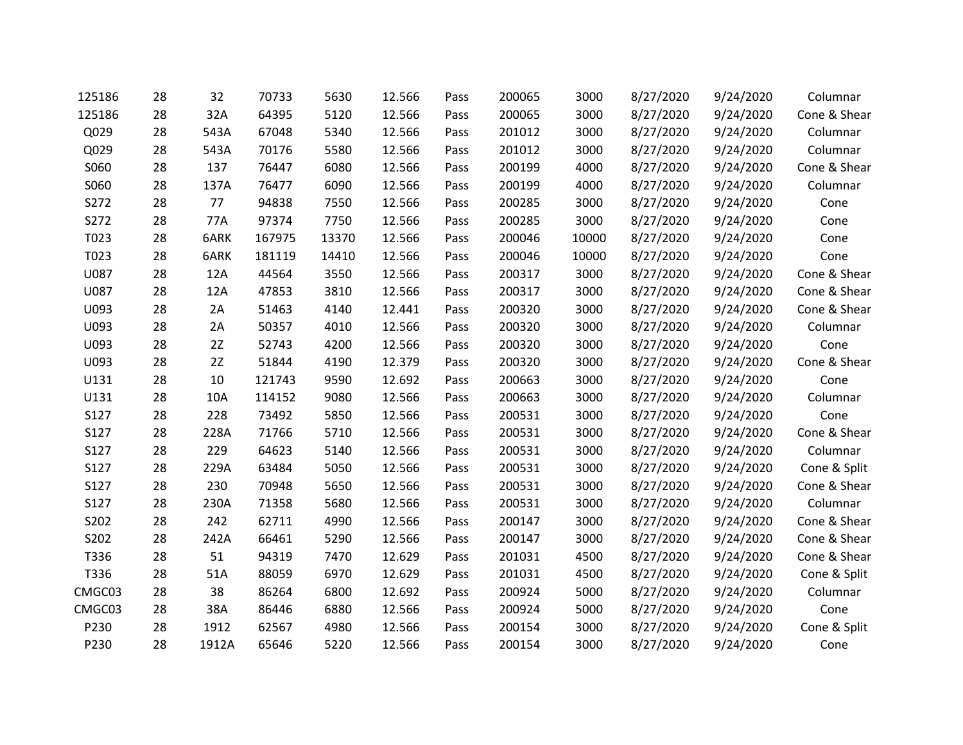| 125186 | 28 | 32    | 70733  | 5630  | 12.566 | Pass | 200065 | 3000  | 8/27/2020 | 9/24/2020 | Columnar     |
|--------|----|-------|--------|-------|--------|------|--------|-------|-----------|-----------|--------------|
| 125186 | 28 | 32A   | 64395  | 5120  | 12.566 | Pass | 200065 | 3000  | 8/27/2020 | 9/24/2020 | Cone & Shear |
| Q029   | 28 | 543A  | 67048  | 5340  | 12.566 | Pass | 201012 | 3000  | 8/27/2020 | 9/24/2020 | Columnar     |
| Q029   | 28 | 543A  | 70176  | 5580  | 12.566 | Pass | 201012 | 3000  | 8/27/2020 | 9/24/2020 | Columnar     |
| S060   | 28 | 137   | 76447  | 6080  | 12.566 | Pass | 200199 | 4000  | 8/27/2020 | 9/24/2020 | Cone & Shear |
| S060   | 28 | 137A  | 76477  | 6090  | 12.566 | Pass | 200199 | 4000  | 8/27/2020 | 9/24/2020 | Columnar     |
| S272   | 28 | 77    | 94838  | 7550  | 12.566 | Pass | 200285 | 3000  | 8/27/2020 | 9/24/2020 | Cone         |
| S272   | 28 | 77A   | 97374  | 7750  | 12.566 | Pass | 200285 | 3000  | 8/27/2020 | 9/24/2020 | Cone         |
| T023   | 28 | 6ARK  | 167975 | 13370 | 12.566 | Pass | 200046 | 10000 | 8/27/2020 | 9/24/2020 | Cone         |
| T023   | 28 | 6ARK  | 181119 | 14410 | 12.566 | Pass | 200046 | 10000 | 8/27/2020 | 9/24/2020 | Cone         |
| U087   | 28 | 12A   | 44564  | 3550  | 12.566 | Pass | 200317 | 3000  | 8/27/2020 | 9/24/2020 | Cone & Shear |
| U087   | 28 | 12A   | 47853  | 3810  | 12.566 | Pass | 200317 | 3000  | 8/27/2020 | 9/24/2020 | Cone & Shear |
| U093   | 28 | 2A    | 51463  | 4140  | 12.441 | Pass | 200320 | 3000  | 8/27/2020 | 9/24/2020 | Cone & Shear |
| U093   | 28 | 2A    | 50357  | 4010  | 12.566 | Pass | 200320 | 3000  | 8/27/2020 | 9/24/2020 | Columnar     |
| U093   | 28 | 2Z    | 52743  | 4200  | 12.566 | Pass | 200320 | 3000  | 8/27/2020 | 9/24/2020 | Cone         |
| U093   | 28 | 2Z    | 51844  | 4190  | 12.379 | Pass | 200320 | 3000  | 8/27/2020 | 9/24/2020 | Cone & Shear |
| U131   | 28 | 10    | 121743 | 9590  | 12.692 | Pass | 200663 | 3000  | 8/27/2020 | 9/24/2020 | Cone         |
| U131   | 28 | 10A   | 114152 | 9080  | 12.566 | Pass | 200663 | 3000  | 8/27/2020 | 9/24/2020 | Columnar     |
| S127   | 28 | 228   | 73492  | 5850  | 12.566 | Pass | 200531 | 3000  | 8/27/2020 | 9/24/2020 | Cone         |
| S127   | 28 | 228A  | 71766  | 5710  | 12.566 | Pass | 200531 | 3000  | 8/27/2020 | 9/24/2020 | Cone & Shear |
| S127   | 28 | 229   | 64623  | 5140  | 12.566 | Pass | 200531 | 3000  | 8/27/2020 | 9/24/2020 | Columnar     |
| S127   | 28 | 229A  | 63484  | 5050  | 12.566 | Pass | 200531 | 3000  | 8/27/2020 | 9/24/2020 | Cone & Split |
| S127   | 28 | 230   | 70948  | 5650  | 12.566 | Pass | 200531 | 3000  | 8/27/2020 | 9/24/2020 | Cone & Shear |
| S127   | 28 | 230A  | 71358  | 5680  | 12.566 | Pass | 200531 | 3000  | 8/27/2020 | 9/24/2020 | Columnar     |
| S202   | 28 | 242   | 62711  | 4990  | 12.566 | Pass | 200147 | 3000  | 8/27/2020 | 9/24/2020 | Cone & Shear |
| S202   | 28 | 242A  | 66461  | 5290  | 12.566 | Pass | 200147 | 3000  | 8/27/2020 | 9/24/2020 | Cone & Shear |
| T336   | 28 | 51    | 94319  | 7470  | 12.629 | Pass | 201031 | 4500  | 8/27/2020 | 9/24/2020 | Cone & Shear |
| T336   | 28 | 51A   | 88059  | 6970  | 12.629 | Pass | 201031 | 4500  | 8/27/2020 | 9/24/2020 | Cone & Split |
| CMGC03 | 28 | 38    | 86264  | 6800  | 12.692 | Pass | 200924 | 5000  | 8/27/2020 | 9/24/2020 | Columnar     |
| CMGC03 | 28 | 38A   | 86446  | 6880  | 12.566 | Pass | 200924 | 5000  | 8/27/2020 | 9/24/2020 | Cone         |
| P230   | 28 | 1912  | 62567  | 4980  | 12.566 | Pass | 200154 | 3000  | 8/27/2020 | 9/24/2020 | Cone & Split |
| P230   | 28 | 1912A | 65646  | 5220  | 12.566 | Pass | 200154 | 3000  | 8/27/2020 | 9/24/2020 | Cone         |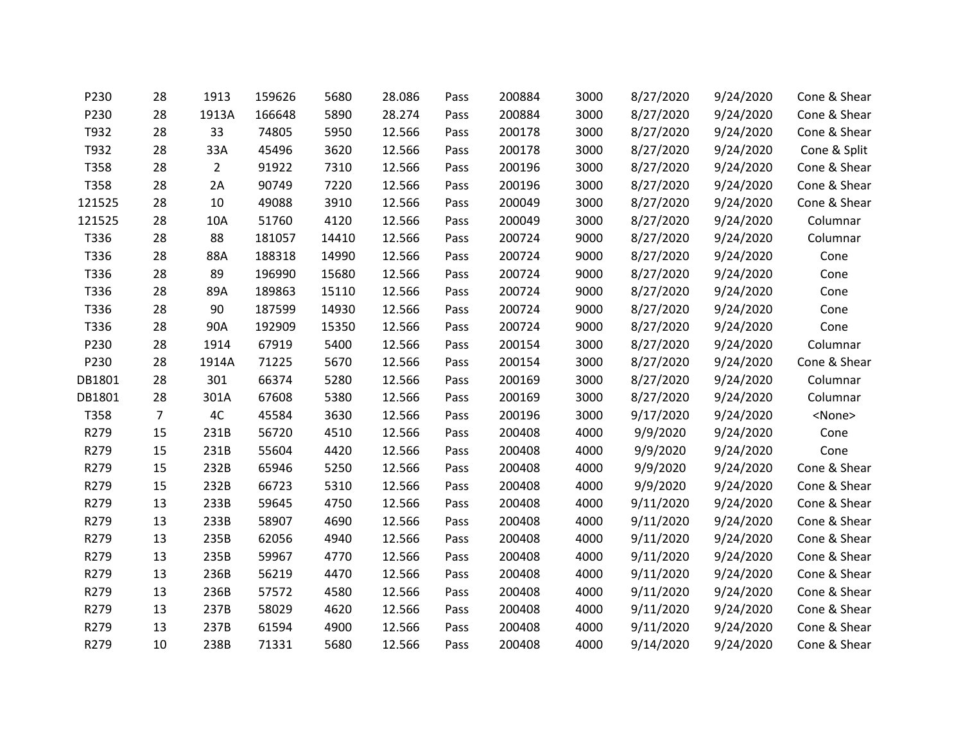| P230   | 28             | 1913           | 159626 | 5680  | 28.086 | Pass | 200884 | 3000 | 8/27/2020 | 9/24/2020 | Cone & Shear  |
|--------|----------------|----------------|--------|-------|--------|------|--------|------|-----------|-----------|---------------|
| P230   | 28             | 1913A          | 166648 | 5890  | 28.274 | Pass | 200884 | 3000 | 8/27/2020 | 9/24/2020 | Cone & Shear  |
| T932   | 28             | 33             | 74805  | 5950  | 12.566 | Pass | 200178 | 3000 | 8/27/2020 | 9/24/2020 | Cone & Shear  |
| T932   | 28             | 33A            | 45496  | 3620  | 12.566 | Pass | 200178 | 3000 | 8/27/2020 | 9/24/2020 | Cone & Split  |
| T358   | 28             | $\overline{2}$ | 91922  | 7310  | 12.566 | Pass | 200196 | 3000 | 8/27/2020 | 9/24/2020 | Cone & Shear  |
| T358   | 28             | 2A             | 90749  | 7220  | 12.566 | Pass | 200196 | 3000 | 8/27/2020 | 9/24/2020 | Cone & Shear  |
| 121525 | 28             | 10             | 49088  | 3910  | 12.566 | Pass | 200049 | 3000 | 8/27/2020 | 9/24/2020 | Cone & Shear  |
| 121525 | 28             | 10A            | 51760  | 4120  | 12.566 | Pass | 200049 | 3000 | 8/27/2020 | 9/24/2020 | Columnar      |
| T336   | 28             | 88             | 181057 | 14410 | 12.566 | Pass | 200724 | 9000 | 8/27/2020 | 9/24/2020 | Columnar      |
| T336   | 28             | 88A            | 188318 | 14990 | 12.566 | Pass | 200724 | 9000 | 8/27/2020 | 9/24/2020 | Cone          |
| T336   | 28             | 89             | 196990 | 15680 | 12.566 | Pass | 200724 | 9000 | 8/27/2020 | 9/24/2020 | Cone          |
| T336   | 28             | 89A            | 189863 | 15110 | 12.566 | Pass | 200724 | 9000 | 8/27/2020 | 9/24/2020 | Cone          |
| T336   | 28             | 90             | 187599 | 14930 | 12.566 | Pass | 200724 | 9000 | 8/27/2020 | 9/24/2020 | Cone          |
| T336   | 28             | 90A            | 192909 | 15350 | 12.566 | Pass | 200724 | 9000 | 8/27/2020 | 9/24/2020 | Cone          |
| P230   | 28             | 1914           | 67919  | 5400  | 12.566 | Pass | 200154 | 3000 | 8/27/2020 | 9/24/2020 | Columnar      |
| P230   | 28             | 1914A          | 71225  | 5670  | 12.566 | Pass | 200154 | 3000 | 8/27/2020 | 9/24/2020 | Cone & Shear  |
| DB1801 | 28             | 301            | 66374  | 5280  | 12.566 | Pass | 200169 | 3000 | 8/27/2020 | 9/24/2020 | Columnar      |
| DB1801 | 28             | 301A           | 67608  | 5380  | 12.566 | Pass | 200169 | 3000 | 8/27/2020 | 9/24/2020 | Columnar      |
| T358   | $\overline{7}$ | 4C             | 45584  | 3630  | 12.566 | Pass | 200196 | 3000 | 9/17/2020 | 9/24/2020 | <none></none> |
| R279   | 15             | 231B           | 56720  | 4510  | 12.566 | Pass | 200408 | 4000 | 9/9/2020  | 9/24/2020 | Cone          |
| R279   | 15             | 231B           | 55604  | 4420  | 12.566 | Pass | 200408 | 4000 | 9/9/2020  | 9/24/2020 | Cone          |
| R279   | 15             | 232B           | 65946  | 5250  | 12.566 | Pass | 200408 | 4000 | 9/9/2020  | 9/24/2020 | Cone & Shear  |
| R279   | 15             | 232B           | 66723  | 5310  | 12.566 | Pass | 200408 | 4000 | 9/9/2020  | 9/24/2020 | Cone & Shear  |
| R279   | 13             | 233B           | 59645  | 4750  | 12.566 | Pass | 200408 | 4000 | 9/11/2020 | 9/24/2020 | Cone & Shear  |
| R279   | 13             | 233B           | 58907  | 4690  | 12.566 | Pass | 200408 | 4000 | 9/11/2020 | 9/24/2020 | Cone & Shear  |
| R279   | 13             | 235B           | 62056  | 4940  | 12.566 | Pass | 200408 | 4000 | 9/11/2020 | 9/24/2020 | Cone & Shear  |
| R279   | 13             | 235B           | 59967  | 4770  | 12.566 | Pass | 200408 | 4000 | 9/11/2020 | 9/24/2020 | Cone & Shear  |
| R279   | 13             | 236B           | 56219  | 4470  | 12.566 | Pass | 200408 | 4000 | 9/11/2020 | 9/24/2020 | Cone & Shear  |
| R279   | 13             | 236B           | 57572  | 4580  | 12.566 | Pass | 200408 | 4000 | 9/11/2020 | 9/24/2020 | Cone & Shear  |
| R279   | 13             | 237B           | 58029  | 4620  | 12.566 | Pass | 200408 | 4000 | 9/11/2020 | 9/24/2020 | Cone & Shear  |
| R279   | 13             | 237B           | 61594  | 4900  | 12.566 | Pass | 200408 | 4000 | 9/11/2020 | 9/24/2020 | Cone & Shear  |
| R279   | 10             | 238B           | 71331  | 5680  | 12.566 | Pass | 200408 | 4000 | 9/14/2020 | 9/24/2020 | Cone & Shear  |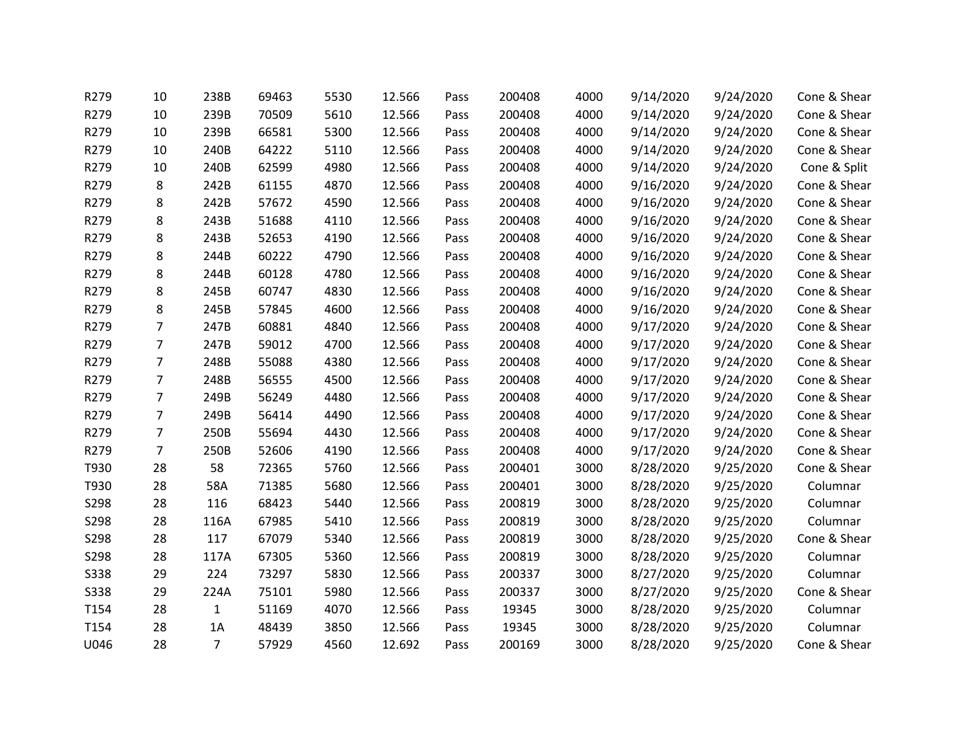| R279        | 10             | 238B           | 69463 | 5530 | 12.566 | Pass | 200408 | 4000 | 9/14/2020 | 9/24/2020 | Cone & Shear |
|-------------|----------------|----------------|-------|------|--------|------|--------|------|-----------|-----------|--------------|
| R279        | 10             | 239B           | 70509 | 5610 | 12.566 | Pass | 200408 | 4000 | 9/14/2020 | 9/24/2020 | Cone & Shear |
| R279        | 10             | 239B           | 66581 | 5300 | 12.566 | Pass | 200408 | 4000 | 9/14/2020 | 9/24/2020 | Cone & Shear |
| R279        | 10             | 240B           | 64222 | 5110 | 12.566 | Pass | 200408 | 4000 | 9/14/2020 | 9/24/2020 | Cone & Shear |
| R279        | 10             | 240B           | 62599 | 4980 | 12.566 | Pass | 200408 | 4000 | 9/14/2020 | 9/24/2020 | Cone & Split |
| R279        | 8              | 242B           | 61155 | 4870 | 12.566 | Pass | 200408 | 4000 | 9/16/2020 | 9/24/2020 | Cone & Shear |
| R279        | 8              | 242B           | 57672 | 4590 | 12.566 | Pass | 200408 | 4000 | 9/16/2020 | 9/24/2020 | Cone & Shear |
| R279        | 8              | 243B           | 51688 | 4110 | 12.566 | Pass | 200408 | 4000 | 9/16/2020 | 9/24/2020 | Cone & Shear |
| R279        | 8              | 243B           | 52653 | 4190 | 12.566 | Pass | 200408 | 4000 | 9/16/2020 | 9/24/2020 | Cone & Shear |
| R279        | 8              | 244B           | 60222 | 4790 | 12.566 | Pass | 200408 | 4000 | 9/16/2020 | 9/24/2020 | Cone & Shear |
| R279        | 8              | 244B           | 60128 | 4780 | 12.566 | Pass | 200408 | 4000 | 9/16/2020 | 9/24/2020 | Cone & Shear |
| R279        | 8              | 245B           | 60747 | 4830 | 12.566 | Pass | 200408 | 4000 | 9/16/2020 | 9/24/2020 | Cone & Shear |
| R279        | 8              | 245B           | 57845 | 4600 | 12.566 | Pass | 200408 | 4000 | 9/16/2020 | 9/24/2020 | Cone & Shear |
| R279        | $\overline{7}$ | 247B           | 60881 | 4840 | 12.566 | Pass | 200408 | 4000 | 9/17/2020 | 9/24/2020 | Cone & Shear |
| R279        | $\overline{7}$ | 247B           | 59012 | 4700 | 12.566 | Pass | 200408 | 4000 | 9/17/2020 | 9/24/2020 | Cone & Shear |
| R279        | $\overline{7}$ | 248B           | 55088 | 4380 | 12.566 | Pass | 200408 | 4000 | 9/17/2020 | 9/24/2020 | Cone & Shear |
| R279        | $\overline{7}$ | 248B           | 56555 | 4500 | 12.566 | Pass | 200408 | 4000 | 9/17/2020 | 9/24/2020 | Cone & Shear |
| R279        | $\overline{7}$ | 249B           | 56249 | 4480 | 12.566 | Pass | 200408 | 4000 | 9/17/2020 | 9/24/2020 | Cone & Shear |
| R279        | $\overline{7}$ | 249B           | 56414 | 4490 | 12.566 | Pass | 200408 | 4000 | 9/17/2020 | 9/24/2020 | Cone & Shear |
| R279        | $\overline{7}$ | 250B           | 55694 | 4430 | 12.566 | Pass | 200408 | 4000 | 9/17/2020 | 9/24/2020 | Cone & Shear |
| R279        | $\overline{7}$ | 250B           | 52606 | 4190 | 12.566 | Pass | 200408 | 4000 | 9/17/2020 | 9/24/2020 | Cone & Shear |
| T930        | 28             | 58             | 72365 | 5760 | 12.566 | Pass | 200401 | 3000 | 8/28/2020 | 9/25/2020 | Cone & Shear |
| T930        | 28             | 58A            | 71385 | 5680 | 12.566 | Pass | 200401 | 3000 | 8/28/2020 | 9/25/2020 | Columnar     |
| S298        | 28             | 116            | 68423 | 5440 | 12.566 | Pass | 200819 | 3000 | 8/28/2020 | 9/25/2020 | Columnar     |
| S298        | 28             | 116A           | 67985 | 5410 | 12.566 | Pass | 200819 | 3000 | 8/28/2020 | 9/25/2020 | Columnar     |
| S298        | 28             | 117            | 67079 | 5340 | 12.566 | Pass | 200819 | 3000 | 8/28/2020 | 9/25/2020 | Cone & Shear |
| S298        | 28             | 117A           | 67305 | 5360 | 12.566 | Pass | 200819 | 3000 | 8/28/2020 | 9/25/2020 | Columnar     |
| <b>S338</b> | 29             | 224            | 73297 | 5830 | 12.566 | Pass | 200337 | 3000 | 8/27/2020 | 9/25/2020 | Columnar     |
| <b>S338</b> | 29             | 224A           | 75101 | 5980 | 12.566 | Pass | 200337 | 3000 | 8/27/2020 | 9/25/2020 | Cone & Shear |
| T154        | 28             | $\mathbf{1}$   | 51169 | 4070 | 12.566 | Pass | 19345  | 3000 | 8/28/2020 | 9/25/2020 | Columnar     |
| T154        | 28             | 1A             | 48439 | 3850 | 12.566 | Pass | 19345  | 3000 | 8/28/2020 | 9/25/2020 | Columnar     |
| U046        | 28             | $\overline{7}$ | 57929 | 4560 | 12.692 | Pass | 200169 | 3000 | 8/28/2020 | 9/25/2020 | Cone & Shear |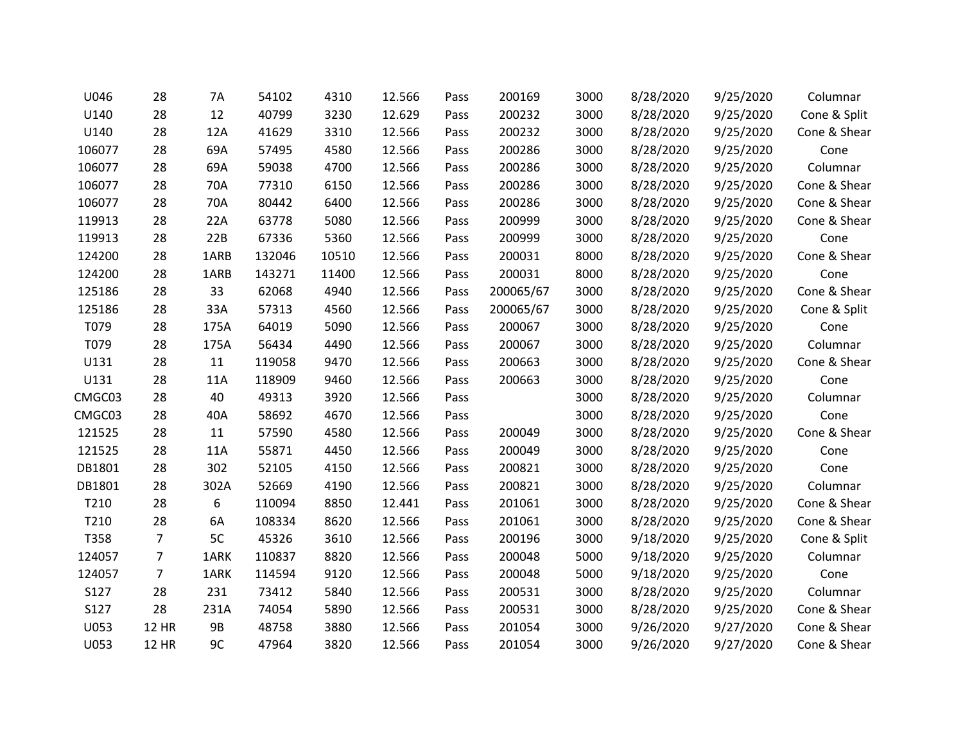| U046   | 28             | 7A        | 54102  | 4310  | 12.566 | Pass | 200169    | 3000 | 8/28/2020 | 9/25/2020 | Columnar     |
|--------|----------------|-----------|--------|-------|--------|------|-----------|------|-----------|-----------|--------------|
| U140   | 28             | 12        | 40799  | 3230  | 12.629 | Pass | 200232    | 3000 | 8/28/2020 | 9/25/2020 | Cone & Split |
| U140   | 28             | 12A       | 41629  | 3310  | 12.566 | Pass | 200232    | 3000 | 8/28/2020 | 9/25/2020 | Cone & Shear |
| 106077 | 28             | 69A       | 57495  | 4580  | 12.566 | Pass | 200286    | 3000 | 8/28/2020 | 9/25/2020 | Cone         |
| 106077 | 28             | 69A       | 59038  | 4700  | 12.566 | Pass | 200286    | 3000 | 8/28/2020 | 9/25/2020 | Columnar     |
| 106077 | 28             | 70A       | 77310  | 6150  | 12.566 | Pass | 200286    | 3000 | 8/28/2020 | 9/25/2020 | Cone & Shear |
| 106077 | 28             | 70A       | 80442  | 6400  | 12.566 | Pass | 200286    | 3000 | 8/28/2020 | 9/25/2020 | Cone & Shear |
| 119913 | 28             | 22A       | 63778  | 5080  | 12.566 | Pass | 200999    | 3000 | 8/28/2020 | 9/25/2020 | Cone & Shear |
| 119913 | 28             | 22B       | 67336  | 5360  | 12.566 | Pass | 200999    | 3000 | 8/28/2020 | 9/25/2020 | Cone         |
| 124200 | 28             | 1ARB      | 132046 | 10510 | 12.566 | Pass | 200031    | 8000 | 8/28/2020 | 9/25/2020 | Cone & Shear |
| 124200 | 28             | 1ARB      | 143271 | 11400 | 12.566 | Pass | 200031    | 8000 | 8/28/2020 | 9/25/2020 | Cone         |
| 125186 | 28             | 33        | 62068  | 4940  | 12.566 | Pass | 200065/67 | 3000 | 8/28/2020 | 9/25/2020 | Cone & Shear |
| 125186 | 28             | 33A       | 57313  | 4560  | 12.566 | Pass | 200065/67 | 3000 | 8/28/2020 | 9/25/2020 | Cone & Split |
| T079   | 28             | 175A      | 64019  | 5090  | 12.566 | Pass | 200067    | 3000 | 8/28/2020 | 9/25/2020 | Cone         |
| T079   | 28             | 175A      | 56434  | 4490  | 12.566 | Pass | 200067    | 3000 | 8/28/2020 | 9/25/2020 | Columnar     |
| U131   | 28             | 11        | 119058 | 9470  | 12.566 | Pass | 200663    | 3000 | 8/28/2020 | 9/25/2020 | Cone & Shear |
| U131   | 28             | 11A       | 118909 | 9460  | 12.566 | Pass | 200663    | 3000 | 8/28/2020 | 9/25/2020 | Cone         |
| CMGC03 | 28             | 40        | 49313  | 3920  | 12.566 | Pass |           | 3000 | 8/28/2020 | 9/25/2020 | Columnar     |
| CMGC03 | 28             | 40A       | 58692  | 4670  | 12.566 | Pass |           | 3000 | 8/28/2020 | 9/25/2020 | Cone         |
| 121525 | 28             | 11        | 57590  | 4580  | 12.566 | Pass | 200049    | 3000 | 8/28/2020 | 9/25/2020 | Cone & Shear |
| 121525 | 28             | 11A       | 55871  | 4450  | 12.566 | Pass | 200049    | 3000 | 8/28/2020 | 9/25/2020 | Cone         |
| DB1801 | 28             | 302       | 52105  | 4150  | 12.566 | Pass | 200821    | 3000 | 8/28/2020 | 9/25/2020 | Cone         |
| DB1801 | 28             | 302A      | 52669  | 4190  | 12.566 | Pass | 200821    | 3000 | 8/28/2020 | 9/25/2020 | Columnar     |
| T210   | 28             | 6         | 110094 | 8850  | 12.441 | Pass | 201061    | 3000 | 8/28/2020 | 9/25/2020 | Cone & Shear |
| T210   | 28             | 6A        | 108334 | 8620  | 12.566 | Pass | 201061    | 3000 | 8/28/2020 | 9/25/2020 | Cone & Shear |
| T358   | $\overline{7}$ | 5C        | 45326  | 3610  | 12.566 | Pass | 200196    | 3000 | 9/18/2020 | 9/25/2020 | Cone & Split |
| 124057 | $\overline{7}$ | 1ARK      | 110837 | 8820  | 12.566 | Pass | 200048    | 5000 | 9/18/2020 | 9/25/2020 | Columnar     |
| 124057 | $\overline{7}$ | 1ARK      | 114594 | 9120  | 12.566 | Pass | 200048    | 5000 | 9/18/2020 | 9/25/2020 | Cone         |
| S127   | 28             | 231       | 73412  | 5840  | 12.566 | Pass | 200531    | 3000 | 8/28/2020 | 9/25/2020 | Columnar     |
| S127   | 28             | 231A      | 74054  | 5890  | 12.566 | Pass | 200531    | 3000 | 8/28/2020 | 9/25/2020 | Cone & Shear |
| U053   | <b>12 HR</b>   | <b>9B</b> | 48758  | 3880  | 12.566 | Pass | 201054    | 3000 | 9/26/2020 | 9/27/2020 | Cone & Shear |
| U053   | <b>12 HR</b>   | 9C        | 47964  | 3820  | 12.566 | Pass | 201054    | 3000 | 9/26/2020 | 9/27/2020 | Cone & Shear |